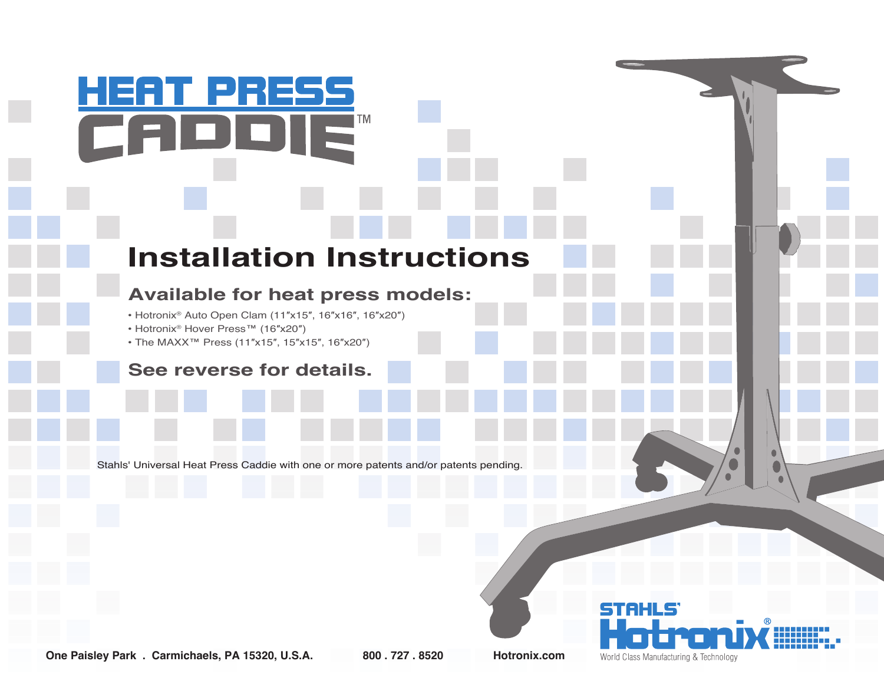## **Installation Instructions**

**TM** 

## **Available for heat press models:**

- Hotronix® Auto Open Clam (11″x15″, 16″x16″, 16″x20″)
- Hotronix® Hover Press™ (16″x20″)

HEAT PRESS

• The MAXX™ Press (11″x15″, 15″x15″, 16″x20″)

## **See reverse for details.**

Stahls' Universal Heat Press Caddie with one or more patents and/or patents pending.

TAHL World Class Manufacturing & Technology